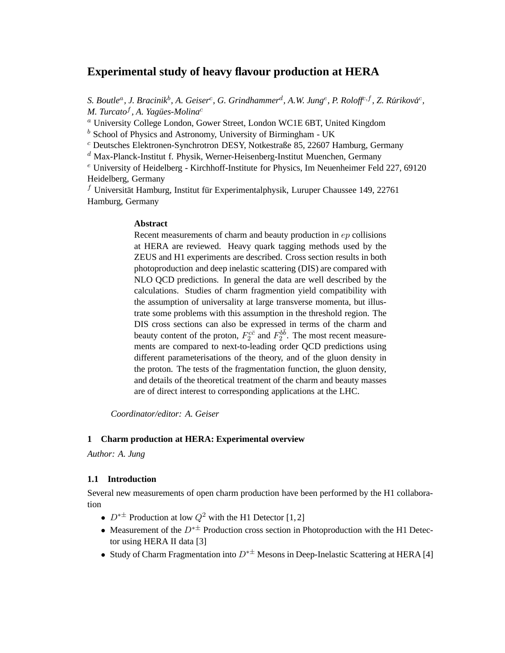# **Experimental study of heavy flavour production at HERA**

S. Boutle<sup>a</sup>, J. Bracinik<sup>b</sup>, A. Geiser<sup>c</sup>, G. Grindhammer<sup>d</sup>, A.W. Jung<sup>e</sup>, P. Roloff<sup>c,f</sup>, Z. Rúriková<sup>c</sup>, *M. Turcato*<sup>f</sup> *, A. Yagues-Molina ¨* c

<sup>a</sup> University College London, Gower Street, London WC1E 6BT, United Kingdom

 $<sup>b</sup>$  School of Physics and Astronomy, University of Birmingham - UK</sup>

 $c$  Deutsches Elektronen-Synchrotron DESY, Notkestraße 85, 22607 Hamburg, Germany

 $d$  Max-Planck-Institut f. Physik, Werner-Heisenberg-Institut Muenchen, Germany

 $e$  University of Heidelberg - Kirchhoff-Institute for Physics, Im Neuenheimer Feld 227, 69120 Heidelberg, Germany

 $f$  Universität Hamburg, Institut für Experimentalphysik, Luruper Chaussee 149, 22761 Hamburg, Germany

#### **Abstract**

Recent measurements of charm and beauty production in ep collisions at HERA are reviewed. Heavy quark tagging methods used by the ZEUS and H1 experiments are described. Cross section results in both photoproduction and deep inelastic scattering (DIS) are compared with NLO QCD predictions. In general the data are well described by the calculations. Studies of charm fragmention yield compatibility with the assumption of universality at large transverse momenta, but illustrate some problems with this assumption in the threshold region. The DIS cross sections can also be expressed in terms of the charm and beauty content of the proton,  $F_2^{c\bar{c}}$  and  $F_2^{b\bar{b}}$ . The most recent measurements are compared to next-to-leading order QCD predictions using different parameterisations of the theory, and of the gluon density in the proton. The tests of the fragmentation function, the gluon density, and details of the theoretical treatment of the charm and beauty masses are of direct interest to corresponding applications at the LHC.

*Coordinator/editor: A. Geiser*

#### **1 Charm production at HERA: Experimental overview**

*Author: A. Jung*

# **1.1 Introduction**

Several new measurements of open charm production have been performed by the H1 collaboration

- $D^{*\pm}$  Production at low  $Q^2$  with the H1 Detector [1,2]
- Measurement of the  $D^{* \pm}$  Production cross section in Photoproduction with the H1 Detector using HERA II data [3]
- Study of Charm Fragmentation into  $D^{*\pm}$  Mesons in Deep-Inelastic Scattering at HERA [4]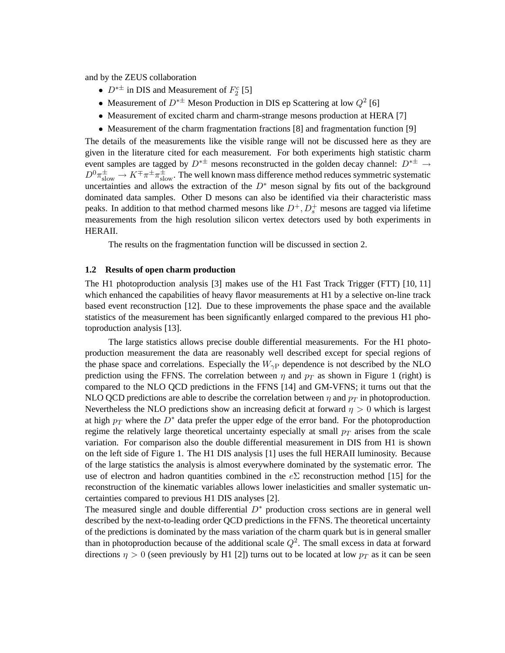and by the ZEUS collaboration

- $D^{*\pm}$  in DIS and Measurement of  $F_2^c$  [5]
- Measurement of  $D^{*\pm}$  Meson Production in DIS ep Scattering at low  $Q^2$  [6]
- Measurement of excited charm and charm-strange mesons production at HERA [7]
- Measurement of the charm fragmentation fractions [8] and fragmentation function [9]

The details of the measurements like the visible range will not be discussed here as they are given in the literature cited for each measurement. For both experiments high statistic charm event samples are tagged by  $D^{* \pm}$  mesons reconstructed in the golden decay channel:  $D^{* \pm} \rightarrow$  $D^0\pi_{\rm slow}^{\pm}\to K^{\mp}\pi^{\pm}\pi^{\pm}_{\rm slow}$ . The well known mass difference method reduces symmetric systematic uncertainties and allows the extraction of the  $D^*$  meson signal by fits out of the background dominated data samples. Other D mesons can also be identified via their characteristic mass peaks. In addition to that method charmed mesons like  $D^+, D_s^+$  mesons are tagged via lifetime measurements from the high resolution silicon vertex detectors used by both experiments in HERAII.

The results on the fragmentation function will be discussed in section 2.

# **1.2 Results of open charm production**

The H1 photoproduction analysis [3] makes use of the H1 Fast Track Trigger (FTT) [10, 11] which enhanced the capabilities of heavy flavor measurements at H1 by a selective on-line track based event reconstruction [12]. Due to these improvements the phase space and the available statistics of the measurement has been significantly enlarged compared to the previous H1 photoproduction analysis [13].

The large statistics allows precise double differential measurements. For the H1 photoproduction measurement the data are reasonably well described except for special regions of the phase space and correlations. Especially the  $W_{\gamma}$  dependence is not described by the NLO prediction using the FFNS. The correlation between  $\eta$  and  $p_T$  as shown in Figure 1 (right) is compared to the NLO QCD predictions in the FFNS [14] and GM-VFNS; it turns out that the NLO QCD predictions are able to describe the correlation between  $\eta$  and  $p_T$  in photoproduction. Nevertheless the NLO predictions show an increasing deficit at forward  $\eta > 0$  which is largest at high  $p_T$  where the  $D^*$  data prefer the upper edge of the error band. For the photoproduction regime the relatively large theoretical uncertainty especially at small  $p_T$  arises from the scale variation. For comparison also the double differential measurement in DIS from H1 is shown on the left side of Figure 1. The H1 DIS analysis [1] uses the full HERAII luminosity. Because of the large statistics the analysis is almost everywhere dominated by the systematic error. The use of electron and hadron quantities combined in the  $e\Sigma$  reconstruction method [15] for the reconstruction of the kinematic variables allows lower inelasticities and smaller systematic uncertainties compared to previous H1 DIS analyses [2].

The measured single and double differential  $D^*$  production cross sections are in general well described by the next-to-leading order QCD predictions in the FFNS. The theoretical uncertainty of the predictions is dominated by the mass variation of the charm quark but is in general smaller than in photoproduction because of the additional scale  $Q^2$ . The small excess in data at forward directions  $\eta > 0$  (seen previously by H1 [2]) turns out to be located at low  $p_T$  as it can be seen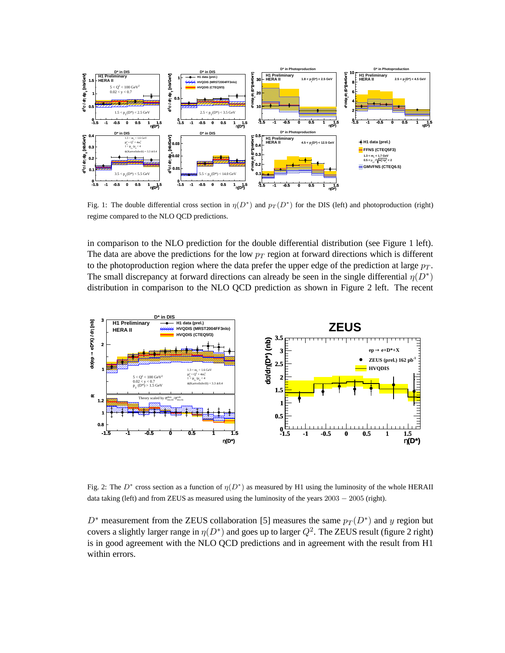

Fig. 1: The double differential cross section in  $\eta(D^*)$  and  $p_T(D^*)$  for the DIS (left) and photoproduction (right) regime compared to the NLO QCD predictions.

in comparison to the NLO prediction for the double differential distribution (see Figure 1 left). The data are above the predictions for the low  $p_T$  region at forward directions which is different to the photoproduction region where the data prefer the upper edge of the prediction at large  $p_T$ . The small discrepancy at forward directions can already be seen in the single differential  $\eta(D^*)$ distribution in comparison to the NLO QCD prediction as shown in Figure 2 left. The recent



Fig. 2: The  $D^*$  cross section as a function of  $\eta(D^*)$  as measured by H1 using the luminosity of the whole HERAII data taking (left) and from ZEUS as measured using the luminosity of the years  $2003 - 2005$  (right).

 $D^*$  measurement from the ZEUS collaboration [5] measures the same  $p_T(D^*)$  and y region but covers a slightly larger range in  $\eta(D^*)$  and goes up to larger  $Q^2$ . The ZEUS result (figure 2 right) is in good agreement with the NLO QCD predictions and in agreement with the result from H1 within errors.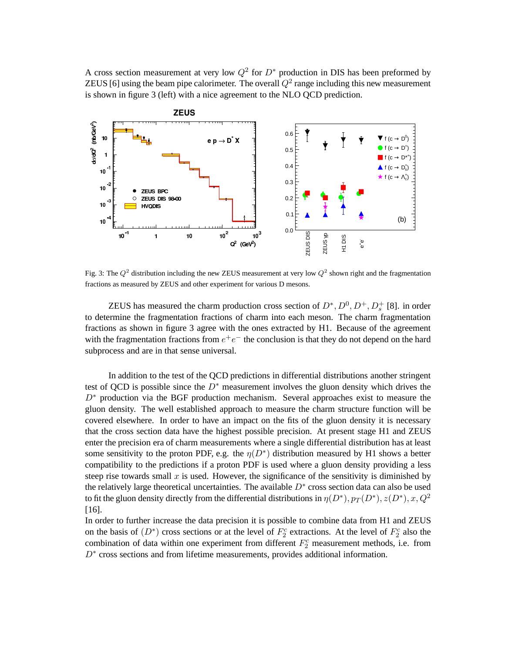A cross section measurement at very low  $Q^2$  for  $D^*$  production in DIS has been preformed by ZEUS [6] using the beam pipe calorimeter. The overall  $Q^2$  range including this new measurement is shown in figure 3 (left) with a nice agreement to the NLO QCD prediction.



Fig. 3: The  $Q^2$  distribution including the new ZEUS measurement at very low  $Q^2$  shown right and the fragmentation fractions as measured by ZEUS and other experiment for various D mesons.

ZEUS has measured the charm production cross section of  $D^*, D^0, D^+, D_s^+$  [8]. in order to determine the fragmentation fractions of charm into each meson. The charm fragmentation fractions as shown in figure 3 agree with the ones extracted by H1. Because of the agreement with the fragmentation fractions from  $e^+e^-$  the conclusion is that they do not depend on the hard subprocess and are in that sense universal.

In addition to the test of the QCD predictions in differential distributions another stringent test of QCD is possible since the  $D^*$  measurement involves the gluon density which drives the  $D^*$  production via the BGF production mechanism. Several approaches exist to measure the gluon density. The well established approach to measure the charm structure function will be covered elsewhere. In order to have an impact on the fits of the gluon density it is necessary that the cross section data have the highest possible precision. At present stage H1 and ZEUS enter the precision era of charm measurements where a single differential distribution has at least some sensitivity to the proton PDF, e.g. the  $\eta(D^*)$  distribution measured by H1 shows a better compatibility to the predictions if a proton PDF is used where a gluon density providing a less steep rise towards small  $x$  is used. However, the significance of the sensitivity is diminished by the relatively large theoretical uncertainties. The available  $D^*$  cross section data can also be used to fit the gluon density directly from the differential distributions in  $\eta(D^*),$   $p_T(D^*),$   $z(D^*),$   $x,$   $Q^2$ [16].

In order to further increase the data precision it is possible to combine data from H1 and ZEUS on the basis of  $(D^*)$  cross sections or at the level of  $F_2^c$  extractions. At the level of  $F_2^c$  also the combination of data within one experiment from different  $F_2^c$  measurement methods, i.e. from D<sup>∗</sup> cross sections and from lifetime measurements, provides additional information.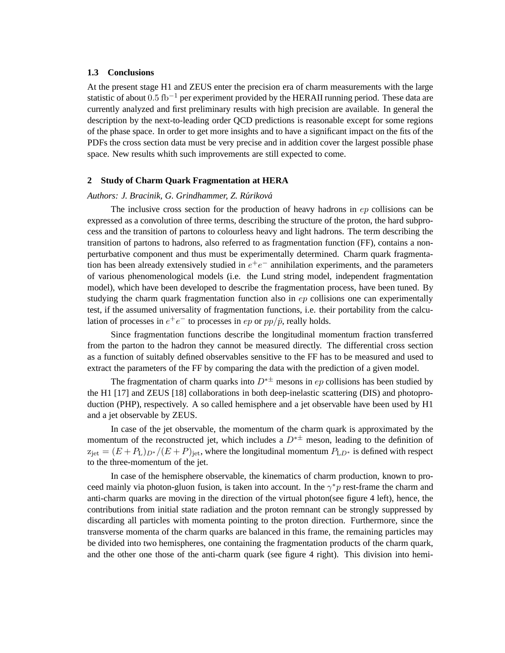# **1.3 Conclusions**

At the present stage H1 and ZEUS enter the precision era of charm measurements with the large statistic of about 0.5 fb<sup>-1</sup> per experiment provided by the HERAII running period. These data are currently analyzed and first preliminary results with high precision are available. In general the description by the next-to-leading order QCD predictions is reasonable except for some regions of the phase space. In order to get more insights and to have a significant impact on the fits of the PDFs the cross section data must be very precise and in addition cover the largest possible phase space. New results whith such improvements are still expected to come.

## **2 Study of Charm Quark Fragmentation at HERA**

# *Authors: J. Bracinik, G. Grindhammer, Z. Rurikov ´ a´*

The inclusive cross section for the production of heavy hadrons in ep collisions can be expressed as a convolution of three terms, describing the structure of the proton, the hard subprocess and the transition of partons to colourless heavy and light hadrons. The term describing the transition of partons to hadrons, also referred to as fragmentation function (FF), contains a nonperturbative component and thus must be experimentally determined. Charm quark fragmentation has been already extensively studied in  $e^+e^-$  annihilation experiments, and the parameters of various phenomenological models (i.e. the Lund string model, independent fragmentation model), which have been developed to describe the fragmentation process, have been tuned. By studying the charm quark fragmentation function also in  $ep$  collisions one can experimentally test, if the assumed universality of fragmentation functions, i.e. their portability from the calculation of processes in  $e^+e^-$  to processes in  $ep$  or  $pp/\bar{p}$ , really holds.

Since fragmentation functions describe the longitudinal momentum fraction transferred from the parton to the hadron they cannot be measured directly. The differential cross section as a function of suitably defined observables sensitive to the FF has to be measured and used to extract the parameters of the FF by comparing the data with the prediction of a given model.

The fragmentation of charm quarks into  $D^{*\pm}$  mesons in ep collisions has been studied by the H1 [17] and ZEUS [18] collaborations in both deep-inelastic scattering (DIS) and photoproduction (PHP), respectively. A so called hemisphere and a jet observable have been used by H1 and a jet observable by ZEUS.

In case of the jet observable, the momentum of the charm quark is approximated by the momentum of the reconstructed jet, which includes a  $D^*$  meson, leading to the definition of  $z_{\text{jet}} = (E + P_L)_{D^*}/(E + P)_{\text{jet}}$ , where the longitudinal momentum  $P_{LD^*}$  is defined with respect to the three-momentum of the jet.

In case of the hemisphere observable, the kinematics of charm production, known to proceed mainly via photon-gluon fusion, is taken into account. In the  $\gamma^* p$  rest-frame the charm and anti-charm quarks are moving in the direction of the virtual photon(see figure 4 left), hence, the contributions from initial state radiation and the proton remnant can be strongly suppressed by discarding all particles with momenta pointing to the proton direction. Furthermore, since the transverse momenta of the charm quarks are balanced in this frame, the remaining particles may be divided into two hemispheres, one containing the fragmentation products of the charm quark, and the other one those of the anti-charm quark (see figure 4 right). This division into hemi-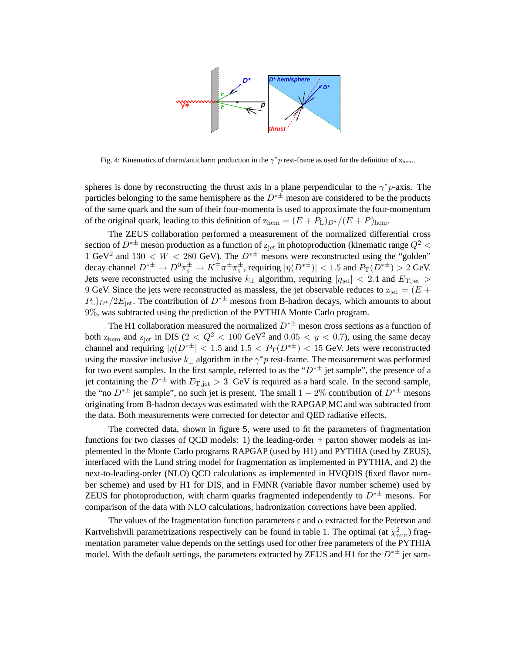

Fig. 4: Kinematics of charm/anticharm production in the  $\gamma^* p$  rest-frame as used for the definition of  $z_{\text{hem}}$ .

spheres is done by reconstructing the thrust axis in a plane perpendicular to the  $\gamma^* p$ -axis. The particles belonging to the same hemisphere as the  $D^{*\pm}$  meson are considered to be the products of the same quark and the sum of their four-momenta is used to approximate the four-momentum of the original quark, leading to this definition of  $z_{\text{hem}} = (E + P_L)_{D^*} / (E + P)_{\text{hem}}$ .

The ZEUS collaboration performed a measurement of the normalized differential cross section of  $D^{*\pm}$  meson production as a function of  $z_{jet}$  in photoproduction (kinematic range  $Q^2$  < 1 GeV<sup>2</sup> and 130 < W < 280 GeV). The  $D^{*\pm}$  mesons were reconstructed using the "golden" decay channel  $D^{*\pm} \to D^0 \pi_s^{\pm} \to K^{\mp} \pi^{\pm} \pi_s^{\pm}$ , requiring  $|\eta(D^{*\pm})| < 1.5$  and  $P_T(D^{*\pm}) > 2$  GeV. Jets were reconstructed using the inclusive  $k_{\perp}$  algorithm, requiring  $|\eta_{\text{jet}}| < 2.4$  and  $E_{\text{T,jet}} >$ 9 GeV. Since the jets were reconstructed as massless, the jet observable reduces to  $z_{\text{jet}} = (E +$  $P_L$ ) $_{D^*}/2E_{\text{jet}}$ . The contribution of  $D^{*\pm}$  mesons from B-hadron decays, which amounts to about 9%, was subtracted using the prediction of the PYTHIA Monte Carlo program.

The H1 collaboration measured the normalized  $D^{* \pm}$  meson cross sections as a function of both  $z_{\text{hem}}$  and  $z_{\text{jet}}$  in DIS (2 <  $Q^2$  < 100 GeV<sup>2</sup> and 0.05 < y < 0.7), using the same decay channel and requiring  $|\eta(D^{*\pm}| < 1.5$  and  $1.5 < P_T(D^{*\pm}) < 15$  GeV. Jets were reconstructed using the massive inclusive  $k_{\perp}$  algorithm in the  $\gamma^*p$  rest-frame. The measurement was performed for two event samples. In the first sample, referred to as the " $D^{* \pm}$  jet sample", the presence of a jet containing the  $D^{*\pm}$  with  $E_{\text{T},\text{jet}} > 3$  GeV is required as a hard scale. In the second sample, the "no  $D^{*\pm}$  jet sample", no such jet is present. The small  $1-2\%$  contribution of  $D^{*\pm}$  mesons originating from B-hadron decays was estimated with the RAPGAP MC and was subtracted from the data. Both measurements were corrected for detector and QED radiative effects.

The corrected data, shown in figure 5, were used to fit the parameters of fragmentation functions for two classes of QCD models: 1) the leading-order + parton shower models as implemented in the Monte Carlo programs RAPGAP (used by H1) and PYTHIA (used by ZEUS), interfaced with the Lund string model for fragmentation as implemented in PYTHIA, and 2) the next-to-leading-order (NLO) QCD calculations as implemented in HVQDIS (fixed flavor number scheme) and used by H1 for DIS, and in FMNR (variable flavor number scheme) used by ZEUS for photoproduction, with charm quarks fragmented independently to  $D^{*\pm}$  mesons. For comparison of the data with NLO calculations, hadronization corrections have been applied.

The values of the fragmentation function parameters  $\varepsilon$  and  $\alpha$  extracted for the Peterson and Kartvelishvili parametrizations respectively can be found in table 1. The optimal (at  $\chi^2_{\rm min}$ ) fragmentation parameter value depends on the settings used for other free parameters of the PYTHIA model. With the default settings, the parameters extracted by ZEUS and H1 for the  $D^{* \pm}$  jet sam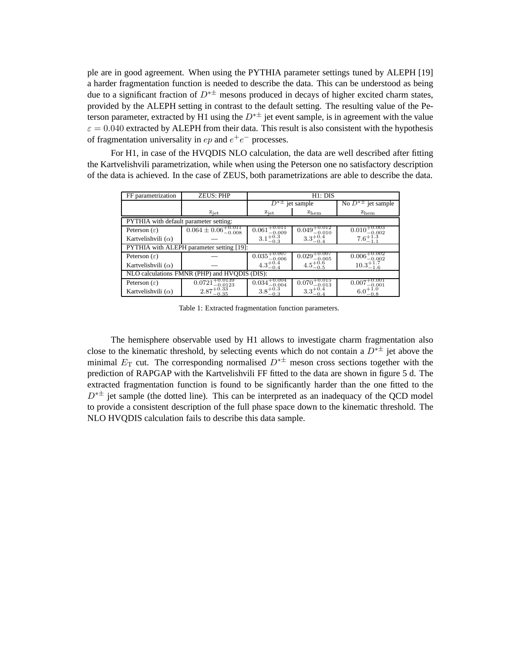ple are in good agreement. When using the PYTHIA parameter settings tuned by ALEPH [19] a harder fragmentation function is needed to describe the data. This can be understood as being due to a significant fraction of  $D^{*\pm}$  mesons produced in decays of higher excited charm states, provided by the ALEPH setting in contrast to the default setting. The resulting value of the Peterson parameter, extracted by H1 using the  $D^{* \pm}$  jet event sample, is in agreement with the value  $\varepsilon = 0.040$  extracted by ALEPH from their data. This result is also consistent with the hypothesis of fragmentation universality in  $ep$  and  $e^+e^-$  processes.

For H1, in case of the HVQDIS NLO calculation, the data are well described after fitting the Kartvelishvili parametrization, while when using the Peterson one no satisfactory description of the data is achieved. In the case of ZEUS, both parametrizations are able to describe the data.

| FF parametrization                            | <b>ZEUS: PHP</b>                   | H1: DIS                                |                              |                                                 |
|-----------------------------------------------|------------------------------------|----------------------------------------|------------------------------|-------------------------------------------------|
|                                               |                                    | $D^{*\pm}$ jet sample                  |                              | No $D^*$ <sup><math>\pm</math></sup> jet sample |
|                                               | $z_{\rm jet}$                      | $z_{\rm jet}$                          | $z_{\rm hem}$                | $z_{\text{hem}}$                                |
| PYTHIA with default parameter setting:        |                                    |                                        |                              |                                                 |
| Peterson $(\varepsilon)$                      | $0.064 \pm 0.06_{-0.008}^{+0.011}$ | $+0.011$<br>0.061<br>$-0.009$          | 0.049<br>$-0.010$            | $\pm 0.003$<br>0.010<br>$-0.002$                |
| Kartvelishvili $(\alpha)$                     |                                    | $3.1^{+\check{0}.\check{3}}$<br>$-0.3$ | $3.3^{+0.4}$<br>$-0.4$       |                                                 |
| PYTHIA with ALEPH parameter setting [19]:     |                                    |                                        |                              |                                                 |
| Peterson $(\varepsilon)$                      |                                    | 0.035<br>$-0.006$                      | 0.029<br>$-0.005$            | 0.006<br>$^{ -0.002}$                           |
| Kartvelishvili $(\alpha)$                     |                                    | $4.3^{+0.4}$                           | -0.5                         | $-1.6$                                          |
| NLO calculations FMNR (PHP) and HVODIS (DIS): |                                    |                                        |                              |                                                 |
| Peterson $(\varepsilon)$                      | 0.0721<br>$-0.0123$                | 0.034<br>$-0.004$                      | -0.015<br>0.070<br>$-0.013$  | 0.00'<br>$\scriptstyle{-0.001}$                 |
| Kartvelishvili $(\alpha)$                     | $-0.35$                            | $3.8^{+0.3}_{-0.2}$<br>$^{ -0.3}$      | $3.3^{+0.0}_{-0.00}$<br>-0.4 | $-0.8$                                          |

Table 1: Extracted fragmentation function parameters.

The hemisphere observable used by H1 allows to investigate charm fragmentation also close to the kinematic threshold, by selecting events which do not contain a  $D^{*\pm}$  jet above the minimal  $E_T$  cut. The corresponding normalised  $D^{*\pm}$  meson cross sections together with the prediction of RAPGAP with the Kartvelishvili FF fitted to the data are shown in figure 5 d. The extracted fragmentation function is found to be significantly harder than the one fitted to the  $D^*$  iet sample (the dotted line). This can be interpreted as an inadequacy of the QCD model to provide a consistent description of the full phase space down to the kinematic threshold. The NLO HVQDIS calculation fails to describe this data sample.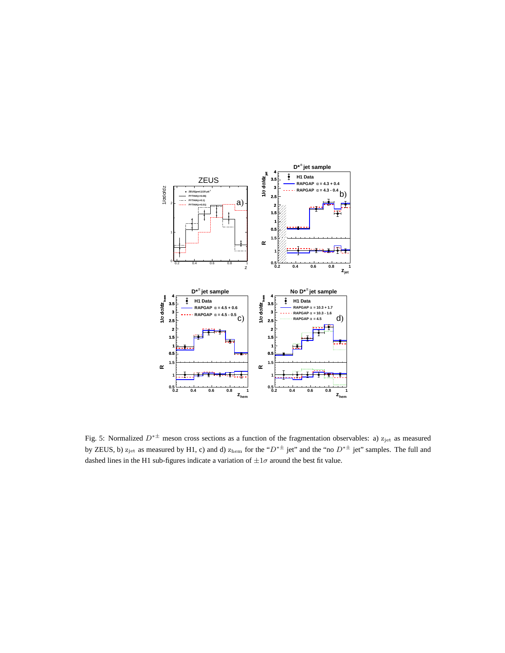

Fig. 5: Normalized  $D^{*\pm}$  meson cross sections as a function of the fragmentation observables: a)  $z_{jet}$  as measured by ZEUS, b)  $z_{jet}$  as measured by H1, c) and d)  $z_{hem}$  for the " $D^{* \pm}$  jet" and the "no  $D^{* \pm}$  jet" samples. The full and dashed lines in the H1 sub-figures indicate a variation of  $\pm 1\sigma$  around the best fit value.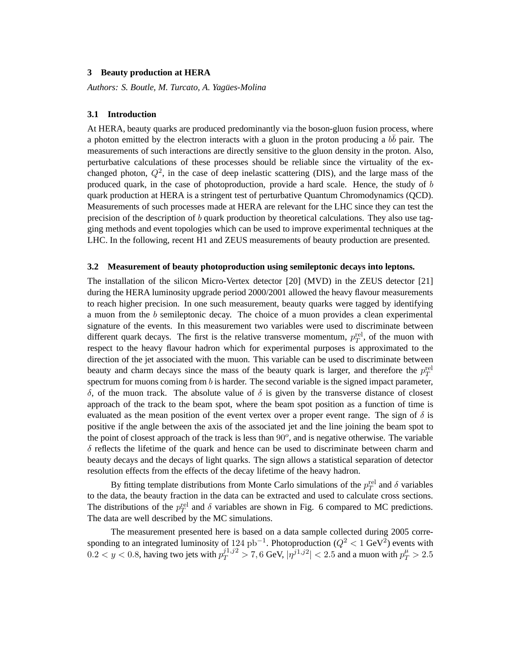# **3 Beauty production at HERA**

*Authors: S. Boutle, M. Turcato, A. Yagues-Molina ¨*

### **3.1 Introduction**

At HERA, beauty quarks are produced predominantly via the boson-gluon fusion process, where a photon emitted by the electron interacts with a gluon in the proton producing a  $b\bar{b}$  pair. The measurements of such interactions are directly sensitive to the gluon density in the proton. Also, perturbative calculations of these processes should be reliable since the virtuality of the exchanged photon,  $Q^2$ , in the case of deep inelastic scattering (DIS), and the large mass of the produced quark, in the case of photoproduction, provide a hard scale. Hence, the study of b quark production at HERA is a stringent test of perturbative Quantum Chromodynamics (QCD). Measurements of such processes made at HERA are relevant for the LHC since they can test the precision of the description of  $b$  quark production by theoretical calculations. They also use tagging methods and event topologies which can be used to improve experimental techniques at the LHC. In the following, recent H1 and ZEUS measurements of beauty production are presented.

#### **3.2 Measurement of beauty photoproduction using semileptonic decays into leptons.**

The installation of the silicon Micro-Vertex detector [20] (MVD) in the ZEUS detector [21] during the HERA luminosity upgrade period 2000/2001 allowed the heavy flavour measurements to reach higher precision. In one such measurement, beauty quarks were tagged by identifying a muon from the b semileptonic decay. The choice of a muon provides a clean experimental signature of the events. In this measurement two variables were used to discriminate between different quark decays. The first is the relative transverse momentum,  $p_T^{\text{rel}}$ , of the muon with respect to the heavy flavour hadron which for experimental purposes is approximated to the direction of the jet associated with the muon. This variable can be used to discriminate between beauty and charm decays since the mass of the beauty quark is larger, and therefore the  $p_T^{\text{rel}}$ spectrum for muons coming from  $b$  is harder. The second variable is the signed impact parameter, δ, of the muon track. The absolute value of δ is given by the transverse distance of closest approach of the track to the beam spot, where the beam spot position as a function of time is evaluated as the mean position of the event vertex over a proper event range. The sign of  $\delta$  is positive if the angle between the axis of the associated jet and the line joining the beam spot to the point of closest approach of the track is less than  $90^\circ$ , and is negative otherwise. The variable  $\delta$  reflects the lifetime of the quark and hence can be used to discriminate between charm and beauty decays and the decays of light quarks. The sign allows a statistical separation of detector resolution effects from the effects of the decay lifetime of the heavy hadron.

By fitting template distributions from Monte Carlo simulations of the  $p_T^{\text{rel}}$  and  $\delta$  variables to the data, the beauty fraction in the data can be extracted and used to calculate cross sections. The distributions of the  $p_T^{\text{rel}}$  and  $\delta$  variables are shown in Fig. 6 compared to MC predictions. The data are well described by the MC simulations.

The measurement presented here is based on a data sample collected during 2005 corresponding to an integrated luminosity of 124 pb<sup>-1</sup>. Photoproduction ( $Q^2 < 1$  GeV<sup>2</sup>) events with  $0.2 < y < 0.8$ , having two jets with  $p_T^{j1,j2} > 7, 6$  GeV,  $|\eta^{j1,j2}| < 2.5$  and a muon with  $p_T^{\mu} > 2.5$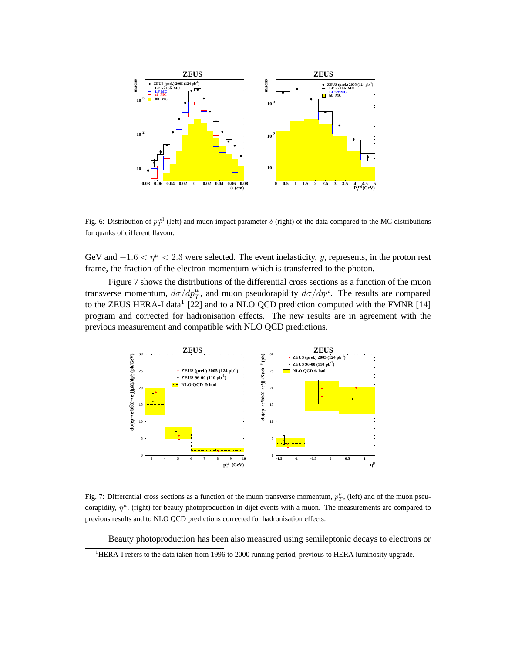

Fig. 6: Distribution of  $p_T^{\text{rel}}$  (left) and muon impact parameter  $\delta$  (right) of the data compared to the MC distributions for quarks of different flavour.

GeV and  $-1.6 < \eta^{\mu} < 2.3$  were selected. The event inelasticity, y, represents, in the proton rest frame, the fraction of the electron momentum which is transferred to the photon.

Figure 7 shows the distributions of the differential cross sections as a function of the muon transverse momentum,  $d\sigma/dp_T^{\mu}$ , and muon pseudorapidity  $d\sigma/d\eta^{\mu}$ . The results are compared to the ZEUS HERA-I data<sup>1</sup> [22] and to a NLO QCD prediction computed with the FMNR [14] program and corrected for hadronisation effects. The new results are in agreement with the previous measurement and compatible with NLO QCD predictions.



Fig. 7: Differential cross sections as a function of the muon transverse momentum,  $p_T^{\mu}$ , (left) and of the muon pseudorapidity,  $\eta^{\mu}$ , (right) for beauty photoproduction in dijet events with a muon. The measurements are compared to previous results and to NLO QCD predictions corrected for hadronisation effects.

Beauty photoproduction has been also measured using semileptonic decays to electrons or

<sup>&</sup>lt;sup>1</sup>HERA-I refers to the data taken from 1996 to 2000 running period, previous to HERA luminosity upgrade.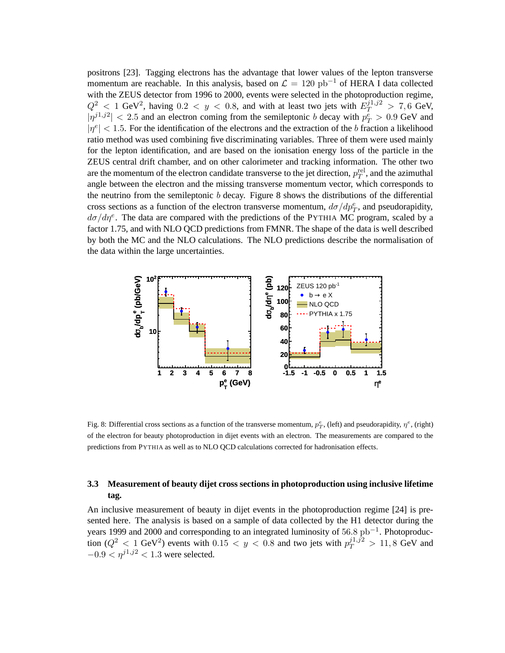positrons [23]. Tagging electrons has the advantage that lower values of the lepton transverse momentum are reachable. In this analysis, based on  $\mathcal{L} = 120$  pb<sup>-1</sup> of HERA I data collected with the ZEUS detector from 1996 to 2000, events were selected in the photoproduction regime,  $Q^2$  < 1 GeV<sup>2</sup>, having 0.2 < y < 0.8, and with at least two jets with  $E_T^{j1,j2} > 7,6$  GeV,  $|\eta^{j_1,j_2}| < 2.5$  and an electron coming from the semileptonic b decay with  $p_T^{\bar{e}} > 0.9$  GeV and  $|\eta^e|$  < 1.5. For the identification of the electrons and the extraction of the b fraction a likelihood ratio method was used combining five discriminating variables. Three of them were used mainly for the lepton identification, and are based on the ionisation energy loss of the particle in the ZEUS central drift chamber, and on other calorimeter and tracking information. The other two are the momentum of the electron candidate transverse to the jet direction,  $p_T^{\text{rel}}$ , and the azimuthal angle between the electron and the missing transverse momentum vector, which corresponds to the neutrino from the semileptonic  $b$  decay. Figure 8 shows the distributions of the differential cross sections as a function of the electron transverse momentum,  $d\sigma/dp_T^e$ , and pseudorapidity,  $d\sigma/d\eta^e$ . The data are compared with the predictions of the PYTHIA MC program, scaled by a factor 1.75, and with NLO QCD predictions from FMNR. The shape of the data is well described by both the MC and the NLO calculations. The NLO predictions describe the normalisation of the data within the large uncertainties.



Fig. 8: Differential cross sections as a function of the transverse momentum,  $p_T^e$ , (left) and pseudorapidity,  $\eta^e$ , (right) of the electron for beauty photoproduction in dijet events with an electron. The measurements are compared to the predictions from PYTHIA as well as to NLO QCD calculations corrected for hadronisation effects.

# **3.3 Measurement of beauty dijet cross sections in photoproduction using inclusive lifetime tag.**

An inclusive measurement of beauty in dijet events in the photoproduction regime [24] is presented here. The analysis is based on a sample of data collected by the H1 detector during the years 1999 and 2000 and corresponding to an integrated luminosity of  $56.8 \text{ pb}^{-1}$ . Photoproduction  $(Q^2 < 1 \text{ GeV}^2)$  events with  $0.15 < y < 0.8$  and two jets with  $p_T^{j_1, j_2} > 11, 8 \text{ GeV}$  and  $-0.9 < \eta^{j1,j2} < 1.3$  were selected.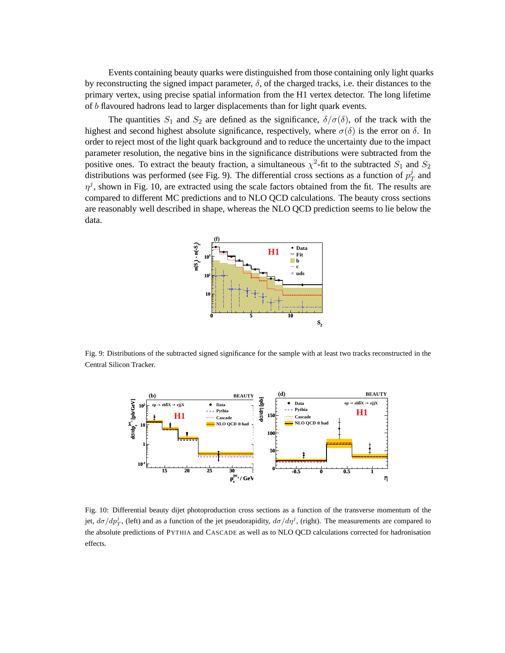Events containing beauty quarks were distinguished from those containing only light quarks by reconstructing the signed impact parameter,  $\delta$ , of the charged tracks, i.e. their distances to the primary vertex, using precise spatial information from the H1 vertex detector. The long lifetime of b flavoured hadrons lead to larger displacements than for light quark events.

The quantities  $S_1$  and  $S_2$  are defined as the significance,  $\delta/\sigma(\delta)$ , of the track with the highest and second highest absolute significance, respectively, where  $\sigma(\delta)$  is the error on  $\delta$ . In order to reject most of the light quark background and to reduce the uncertainty due to the impact parameter resolution, the negative bins in the significance distributions were subtracted from the positive ones. To extract the beauty fraction, a simultaneous  $\chi^2$ -fit to the subtracted  $S_1$  and  $S_2$ distributions was performed (see Fig. 9). The differential cross sections as a function of  $p_7^j$  $_T^j$  and  $\eta^j$ , shown in Fig. 10, are extracted using the scale factors obtained from the fit. The results are compared to different MC predictions and to NLO QCD calculations. The beauty cross sections are reasonably well described in shape, whereas the NLO QCD prediction seems to lie below the data.



Fig. 9: Distributions of the subtracted signed significance for the sample with at least two tracks reconstructed in the Central Silicon Tracker.



Fig. 10: Differential beauty dijet photoproduction cross sections as a function of the transverse momentum of the jet,  $d\sigma/dp_T^j$ , (left) and as a function of the jet pseudorapidity,  $d\sigma/d\eta^j$ , (right). The measurements are compared to the absolute predictions of PYTHIA and CASCADE as well as to NLO QCD calculations corrected for hadronisation effects.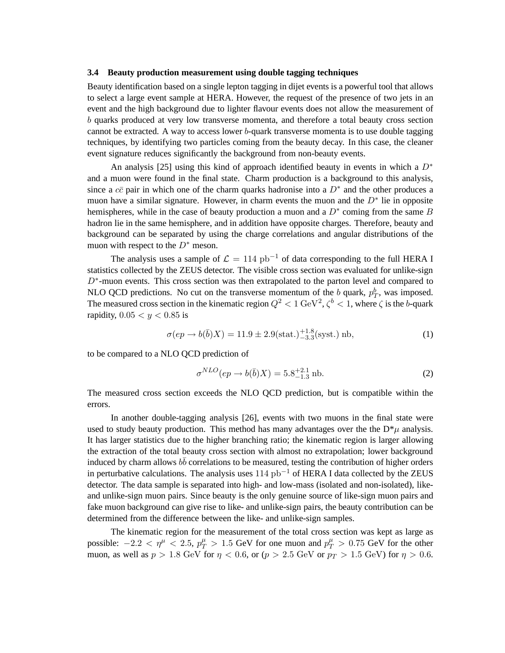#### **3.4 Beauty production measurement using double tagging techniques**

Beauty identification based on a single lepton tagging in dijet events is a powerful tool that allows to select a large event sample at HERA. However, the request of the presence of two jets in an event and the high background due to lighter flavour events does not allow the measurement of b quarks produced at very low transverse momenta, and therefore a total beauty cross section cannot be extracted. A way to access lower b-quark transverse momenta is to use double tagging techniques, by identifying two particles coming from the beauty decay. In this case, the cleaner event signature reduces significantly the background from non-beauty events.

An analysis [25] using this kind of approach identified beauty in events in which a  $D^*$ and a muon were found in the final state. Charm production is a background to this analysis, since a  $c\bar{c}$  pair in which one of the charm quarks hadronise into a  $D^*$  and the other produces a muon have a similar signature. However, in charm events the muon and the  $D^*$  lie in opposite hemispheres, while in the case of beauty production a muon and a  $D^*$  coming from the same B hadron lie in the same hemisphere, and in addition have opposite charges. Therefore, beauty and background can be separated by using the charge correlations and angular distributions of the muon with respect to the  $D^*$  meson.

The analysis uses a sample of  $\mathcal{L} = 114$  pb<sup>-1</sup> of data corresponding to the full HERA I statistics collected by the ZEUS detector. The visible cross section was evaluated for unlike-sign  $D^*$ -muon events. This cross section was then extrapolated to the parton level and compared to NLO QCD predictions. No cut on the transverse momentum of the b quark,  $p_T^b$ , was imposed. The measured cross section in the kinematic region  $Q^2 < 1 \text{ GeV}^2$ ,  $\zeta^b < 1$ , where  $\zeta$  is the b-quark rapidity,  $0.05 < y < 0.85$  is

$$
\sigma(ep \to b(\bar{b})X) = 11.9 \pm 2.9(\text{stat.})^{+1.8}_{-3.3}(\text{syst.}) \text{ nb},\tag{1}
$$

to be compared to a NLO QCD prediction of

$$
\sigma^{NLO}(ep \to b(\bar{b})X) = 5.8^{+2.1}_{-1.3} \,\text{nb.}\tag{2}
$$

The measured cross section exceeds the NLO QCD prediction, but is compatible within the errors.

In another double-tagging analysis [26], events with two muons in the final state were used to study beauty production. This method has many advantages over the the  $D^*\mu$  analysis. It has larger statistics due to the higher branching ratio; the kinematic region is larger allowing the extraction of the total beauty cross section with almost no extrapolation; lower background induced by charm allows  $b\bar{b}$  correlations to be measured, testing the contribution of higher orders in perturbative calculations. The analysis uses 114 pb−<sup>1</sup> of HERA I data collected by the ZEUS detector. The data sample is separated into high- and low-mass (isolated and non-isolated), likeand unlike-sign muon pairs. Since beauty is the only genuine source of like-sign muon pairs and fake muon background can give rise to like- and unlike-sign pairs, the beauty contribution can be determined from the difference between the like- and unlike-sign samples.

The kinematic region for the measurement of the total cross section was kept as large as possible:  $-2.2 < \eta^{\mu} < 2.5$ ,  $p_T^{\mu} > 1.5$  GeV for one muon and  $p_T^{\mu} > 0.75$  GeV for the other muon, as well as  $p > 1.8$  GeV for  $\eta < 0.6$ , or  $(p > 2.5$  GeV or  $p_T > 1.5$  GeV) for  $\eta > 0.6$ .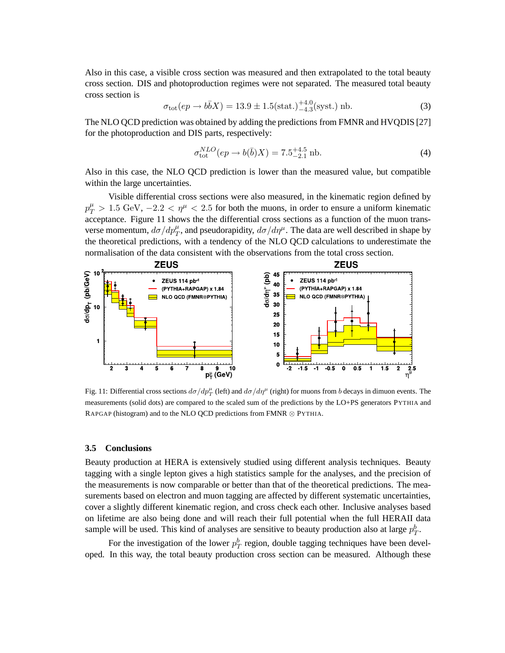Also in this case, a visible cross section was measured and then extrapolated to the total beauty cross section. DIS and photoproduction regimes were not separated. The measured total beauty cross section is

$$
\sigma_{\text{tot}}(ep \to b\bar{b}X) = 13.9 \pm 1.5(\text{stat.})^{+4.0}_{-4.3}(\text{syst.}) \text{ nb.}
$$
 (3)

The NLO QCD prediction was obtained by adding the predictions from FMNR and HVQDIS [27] for the photoproduction and DIS parts, respectively:

$$
\sigma_{\text{tot}}^{NLO}(ep \to b(\bar{b})X) = 7.5^{+4.5}_{-2.1} \text{ nb.}
$$
 (4)

Also in this case, the NLO QCD prediction is lower than the measured value, but compatible within the large uncertainties.

Visible differential cross sections were also measured, in the kinematic region defined by  $p_T^{\mu} > 1.5 \text{ GeV}, -2.2 < \eta^{\mu} < 2.5$  for both the muons, in order to ensure a uniform kinematic acceptance. Figure 11 shows the the differential cross sections as a function of the muon transverse momentum,  $d\sigma/dp_T^{\mu}$ , and pseudorapidity,  $d\sigma/d\eta^{\mu}$ . The data are well described in shape by the theoretical predictions, with a tendency of the NLO QCD calculations to underestimate the normalisation of the data consistent with the observations from the total cross section.



Fig. 11: Differential cross sections  $d\sigma/dp_T^{\mu}$  (left) and  $d\sigma/d\eta^{\mu}$  (right) for muons from b decays in dimuon events. The measurements (solid dots) are compared to the scaled sum of the predictions by the LO+PS generators PYTHIA and RAPGAP (histogram) and to the NLO QCD predictions from FMNR ⊗ PYTHIA.

#### **3.5 Conclusions**

Beauty production at HERA is extensively studied using different analysis techniques. Beauty tagging with a single lepton gives a high statistics sample for the analyses, and the precision of the measurements is now comparable or better than that of the theoretical predictions. The measurements based on electron and muon tagging are affected by different systematic uncertainties, cover a slightly different kinematic region, and cross check each other. Inclusive analyses based on lifetime are also being done and will reach their full potential when the full HERAII data sample will be used. This kind of analyses are sensitive to beauty production also at large  $p_T^b$ .

For the investigation of the lower  $p_T^b$  region, double tagging techniques have been developed. In this way, the total beauty production cross section can be measured. Although these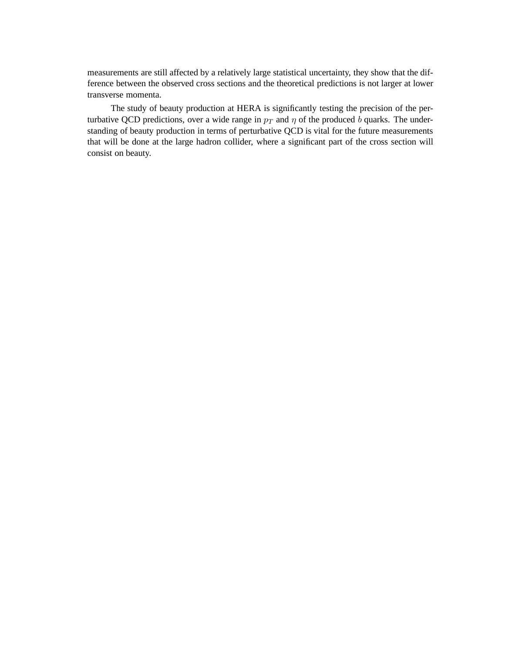measurements are still affected by a relatively large statistical uncertainty, they show that the difference between the observed cross sections and the theoretical predictions is not larger at lower transverse momenta.

The study of beauty production at HERA is significantly testing the precision of the perturbative QCD predictions, over a wide range in  $p_T$  and  $\eta$  of the produced b quarks. The understanding of beauty production in terms of perturbative QCD is vital for the future measurements that will be done at the large hadron collider, where a significant part of the cross section will consist on beauty.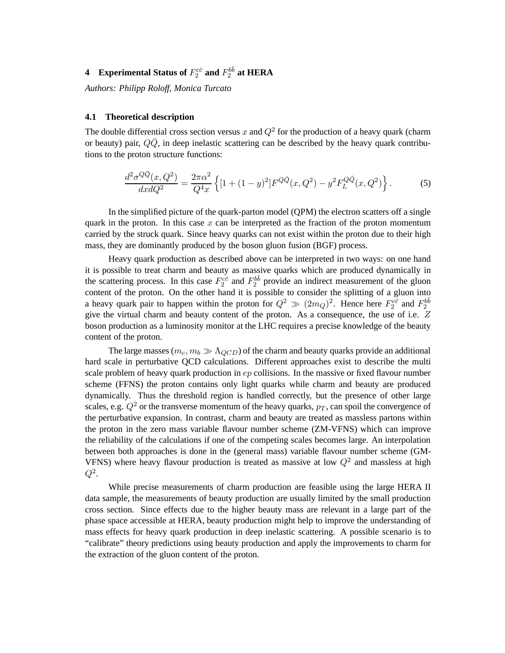# **4** Experimental Status of  $F_2^{c\bar{c}}$  and  $F_2^{b\bar{b}}$  at HERA

*Authors: Philipp Roloff, Monica Turcato*

### **4.1 Theoretical description**

The double differential cross section versus x and  $Q^2$  for the production of a heavy quark (charm or beauty) pair,  $Q\overline{Q}$ , in deep inelastic scattering can be described by the heavy quark contributions to the proton structure functions:

$$
\frac{d^2\sigma^{Q\bar{Q}}(x,Q^2)}{dx dQ^2} = \frac{2\pi\alpha^2}{Q^4x} \left\{ [1 + (1-y)^2] F^{Q\bar{Q}}(x,Q^2) - y^2 F_L^{Q\bar{Q}}(x,Q^2) \right\}.
$$
 (5)

In the simplified picture of the quark-parton model (QPM) the electron scatters off a single quark in the proton. In this case  $x$  can be interpreted as the fraction of the proton momentum carried by the struck quark. Since heavy quarks can not exist within the proton due to their high mass, they are dominantly produced by the boson gluon fusion (BGF) process.

Heavy quark production as described above can be interpreted in two ways: on one hand it is possible to treat charm and beauty as massive quarks which are produced dynamically in the scattering process. In this case  $F_2^{c\bar{c}}$  and  $F_2^{b\bar{b}}$  provide an indirect measurement of the gluon content of the proton. On the other hand it is possible to consider the splitting of a gluon into a heavy quark pair to happen within the proton for  $Q^2 \gg (2m_Q)^2$ . Hence here  $F_2^{c\bar{c}}$  and  $F_2^{b\bar{b}}$ give the virtual charm and beauty content of the proton. As a consequence, the use of i.e. Z boson production as a luminosity monitor at the LHC requires a precise knowledge of the beauty content of the proton.

The large masses ( $m_c, m_b \gg \Lambda_{QCD}$ ) of the charm and beauty quarks provide an additional hard scale in perturbative QCD calculations. Different approaches exist to describe the multi scale problem of heavy quark production in ep collisions. In the massive or fixed flavour number scheme (FFNS) the proton contains only light quarks while charm and beauty are produced dynamically. Thus the threshold region is handled correctly, but the presence of other large scales, e.g.  $Q^2$  or the transverse momentum of the heavy quarks,  $p_T$ , can spoil the convergence of the perturbative expansion. In contrast, charm and beauty are treated as massless partons within the proton in the zero mass variable flavour number scheme (ZM-VFNS) which can improve the reliability of the calculations if one of the competing scales becomes large. An interpolation between both approaches is done in the (general mass) variable flavour number scheme (GM-VFNS) where heavy flavour production is treated as massive at low  $Q^2$  and massless at high  $Q^2.$ 

While precise measurements of charm production are feasible using the large HERA II data sample, the measurements of beauty production are usually limited by the small production cross section. Since effects due to the higher beauty mass are relevant in a large part of the phase space accessible at HERA, beauty production might help to improve the understanding of mass effects for heavy quark production in deep inelastic scattering. A possible scenario is to "calibrate" theory predictions using beauty production and apply the improvements to charm for the extraction of the gluon content of the proton.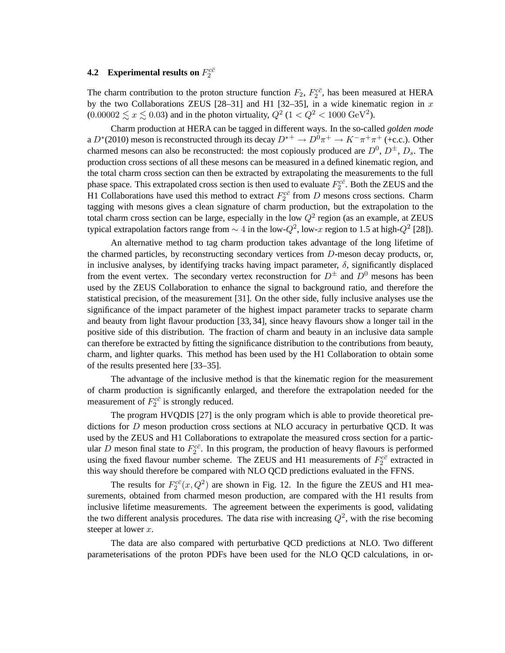# **4.2** Experimental results on  $F_2^{c\bar{c}}$

The charm contribution to the proton structure function  $F_2$ ,  $F_2^{c\bar{c}}$ , has been measured at HERA by the two Collaborations ZEUS [28-31] and H1 [32-35], in a wide kinematic region in  $x$  $(0.00002 \lesssim x \lesssim 0.03)$  and in the photon virtuality,  $Q^2$  (1 <  $Q^2$  < 1000 GeV<sup>2</sup>).

Charm production at HERA can be tagged in different ways. In the so-called *golden mode* a  $D^*(2010)$  meson is reconstructed through its decay  $D^{*+} \to D^0 \pi^+ \to K^- \pi^+ \pi^+$  (+c.c.). Other charmed mesons can also be reconstructed: the most copiously produced are  $D^0$ ,  $D^{\pm}$ ,  $D_s$ . The production cross sections of all these mesons can be measured in a defined kinematic region, and the total charm cross section can then be extracted by extrapolating the measurements to the full phase space. This extrapolated cross section is then used to evaluate  $F_2^{c\bar{c}}$ . Both the ZEUS and the H1 Collaborations have used this method to extract  $F_2^{c\bar{c}}$  from D mesons cross sections. Charm tagging with mesons gives a clean signature of charm production, but the extrapolation to the total charm cross section can be large, especially in the low  $Q^2$  region (as an example, at ZEUS typical extrapolation factors range from  $\sim 4$  in the low- $Q^2$ , low-x region to 1.5 at high- $Q^2$  [28]).

An alternative method to tag charm production takes advantage of the long lifetime of the charmed particles, by reconstructing secondary vertices from  $D$ -meson decay products, or, in inclusive analyses, by identifying tracks having impact parameter,  $\delta$ , significantly displaced from the event vertex. The secondary vertex reconstruction for  $D^{\pm}$  and  $D^{0}$  mesons has been used by the ZEUS Collaboration to enhance the signal to background ratio, and therefore the statistical precision, of the measurement [31]. On the other side, fully inclusive analyses use the significance of the impact parameter of the highest impact parameter tracks to separate charm and beauty from light flavour production [33, 34], since heavy flavours show a longer tail in the positive side of this distribution. The fraction of charm and beauty in an inclusive data sample can therefore be extracted by fitting the significance distribution to the contributions from beauty, charm, and lighter quarks. This method has been used by the H1 Collaboration to obtain some of the results presented here [33–35].

The advantage of the inclusive method is that the kinematic region for the measurement of charm production is significantly enlarged, and therefore the extrapolation needed for the measurement of  $F_2^{c\bar{c}}$  is strongly reduced.

The program HVQDIS [27] is the only program which is able to provide theoretical predictions for D meson production cross sections at NLO accuracy in perturbative QCD. It was used by the ZEUS and H1 Collaborations to extrapolate the measured cross section for a particular D meson final state to  $F_2^{c\bar{c}}$ . In this program, the production of heavy flavours is performed using the fixed flavour number scheme. The ZEUS and H1 measurements of  $F_2^{c\bar{c}}$  extracted in this way should therefore be compared with NLO QCD predictions evaluated in the FFNS.

The results for  $F_2^{c\bar{c}}(x,Q^2)$  are shown in Fig. 12. In the figure the ZEUS and H1 measurements, obtained from charmed meson production, are compared with the H1 results from inclusive lifetime measurements. The agreement between the experiments is good, validating the two different analysis procedures. The data rise with increasing  $Q^2$ , with the rise becoming steeper at lower  $x$ .

The data are also compared with perturbative QCD predictions at NLO. Two different parameterisations of the proton PDFs have been used for the NLO QCD calculations, in or-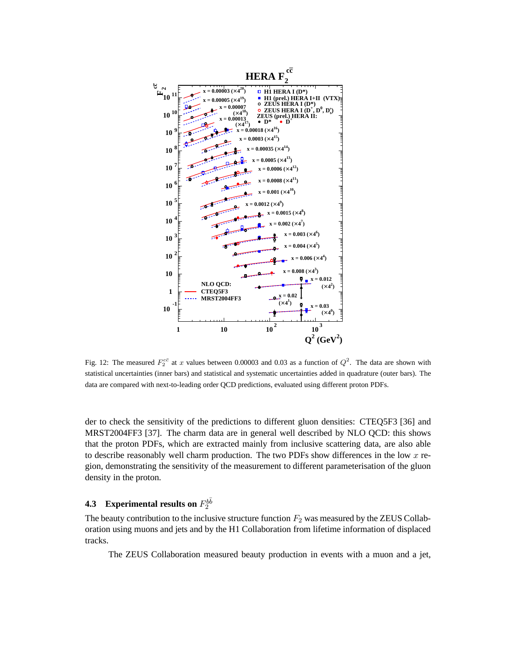

Fig. 12: The measured  $F_2^{c\bar{c}}$  at x values between 0.00003 and 0.03 as a function of  $Q^2$ . The data are shown with statistical uncertainties (inner bars) and statistical and systematic uncertainties added in quadrature (outer bars). The data are compared with next-to-leading order QCD predictions, evaluated using different proton PDFs.

der to check the sensitivity of the predictions to different gluon densities: CTEQ5F3 [36] and MRST2004FF3 [37]. The charm data are in general well described by NLO QCD: this shows that the proton PDFs, which are extracted mainly from inclusive scattering data, are also able to describe reasonably well charm production. The two PDFs show differences in the low  $x$  region, demonstrating the sensitivity of the measurement to different parameterisation of the gluon density in the proton.

# **4.3** Experimental results on  $F_2^{b\bar{b}}$

The beauty contribution to the inclusive structure function  $F_2$  was measured by the ZEUS Collaboration using muons and jets and by the H1 Collaboration from lifetime information of displaced tracks.

The ZEUS Collaboration measured beauty production in events with a muon and a jet,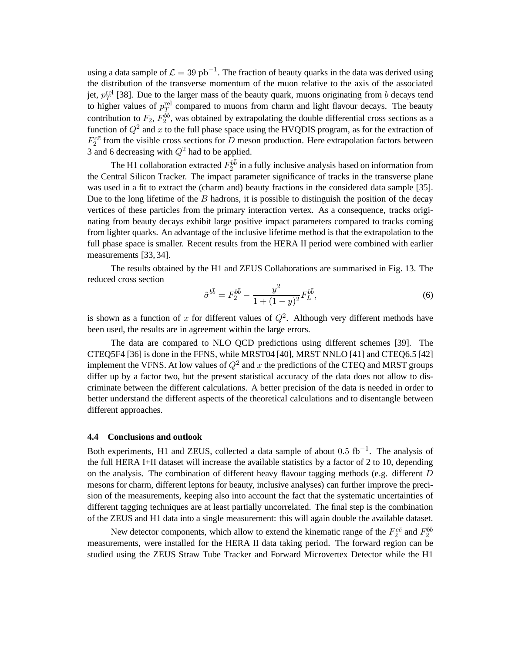using a data sample of  $\mathcal{L} = 39 \text{ pb}^{-1}$ . The fraction of beauty quarks in the data was derived using the distribution of the transverse momentum of the muon relative to the axis of the associated jet,  $p_T^{\text{rel}}$  [38]. Due to the larger mass of the beauty quark, muons originating from b decays tend to higher values of  $p_T^{\text{rel}}$  compared to muons from charm and light flavour decays. The beauty contribution to  $F_2, F_2^{\tilde{b}\tilde{b}}$ , was obtained by extrapolating the double differential cross sections as a function of  $Q^2$  and x to the full phase space using the HVQDIS program, as for the extraction of  $F_2^{c\bar{c}}$  from the visible cross sections for D meson production. Here extrapolation factors between 3 and 6 decreasing with  $Q^2$  had to be applied.

The H1 collaboration extracted  $F_2^{b\bar{b}}$  in a fully inclusive analysis based on information from the Central Silicon Tracker. The impact parameter significance of tracks in the transverse plane was used in a fit to extract the (charm and) beauty fractions in the considered data sample [35]. Due to the long lifetime of the  $B$  hadrons, it is possible to distinguish the position of the decay vertices of these particles from the primary interaction vertex. As a consequence, tracks originating from beauty decays exhibit large positive impact parameters compared to tracks coming from lighter quarks. An advantage of the inclusive lifetime method is that the extrapolation to the full phase space is smaller. Recent results from the HERA II period were combined with earlier measurements [33, 34].

The results obtained by the H1 and ZEUS Collaborations are summarised in Fig. 13. The reduced cross section

$$
\tilde{\sigma}^{b\bar{b}} = F_2^{b\bar{b}} - \frac{y^2}{1 + (1 - y)^2} F_L^{b\bar{b}},\tag{6}
$$

is shown as a function of x for different values of  $Q^2$ . Although very different methods have been used, the results are in agreement within the large errors.

The data are compared to NLO QCD predictions using different schemes [39]. The CTEQ5F4 [36] is done in the FFNS, while MRST04 [40], MRST NNLO [41] and CTEQ6.5 [42] implement the VFNS. At low values of  $Q^2$  and x the predictions of the CTEQ and MRST groups differ up by a factor two, but the present statistical accuracy of the data does not allow to discriminate between the different calculations. A better precision of the data is needed in order to better understand the different aspects of the theoretical calculations and to disentangle between different approaches.

#### **4.4 Conclusions and outlook**

Both experiments, H1 and ZEUS, collected a data sample of about  $0.5 \text{ fb}^{-1}$ . The analysis of the full HERA I+II dataset will increase the available statistics by a factor of 2 to 10, depending on the analysis. The combination of different heavy flavour tagging methods (e.g. different  $D$ mesons for charm, different leptons for beauty, inclusive analyses) can further improve the precision of the measurements, keeping also into account the fact that the systematic uncertainties of different tagging techniques are at least partially uncorrelated. The final step is the combination of the ZEUS and H1 data into a single measurement: this will again double the available dataset.

New detector components, which allow to extend the kinematic range of the  $F_2^{c\bar{c}}$  and  $F_2^{b\bar{b}}$ measurements, were installed for the HERA II data taking period. The forward region can be studied using the ZEUS Straw Tube Tracker and Forward Microvertex Detector while the H1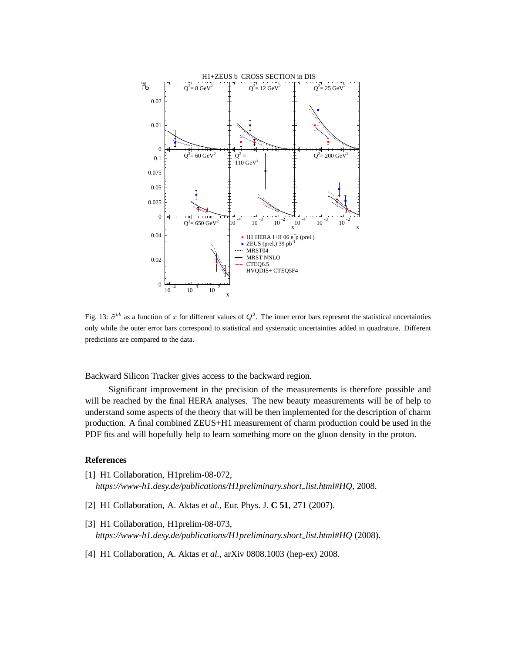

Fig. 13:  $\tilde{\sigma}^{b\bar{b}}$  as a function of x for different values of  $Q^2$ . The inner error bars represent the statistical uncertainties only while the outer error bars correspond to statistical and systematic uncertainties added in quadrature. Different predictions are compared to the data.

Backward Silicon Tracker gives access to the backward region.

Significant improvement in the precision of the measurements is therefore possible and will be reached by the final HERA analyses. The new beauty measurements will be of help to understand some aspects of the theory that will be then implemented for the description of charm production. A final combined ZEUS+H1 measurement of charm production could be used in the PDF fits and will hopefully help to learn something more on the gluon density in the proton.

# **References**

- [1] H1 Collaboration, H1prelim-08-072, *https://www-h1.desy.de/publications/H1preliminary.short list.html#HQ*, 2008.
- [2] H1 Collaboration, A. Aktas *et al.*, Eur. Phys. J. **C 51**, 271 (2007).
- [3] H1 Collaboration, H1prelim-08-073, *https://www-h1.desy.de/publications/H1preliminary.short list.html#HQ* (2008).
- [4] H1 Collaboration, A. Aktas *et al.*, arXiv 0808.1003 (hep-ex) 2008.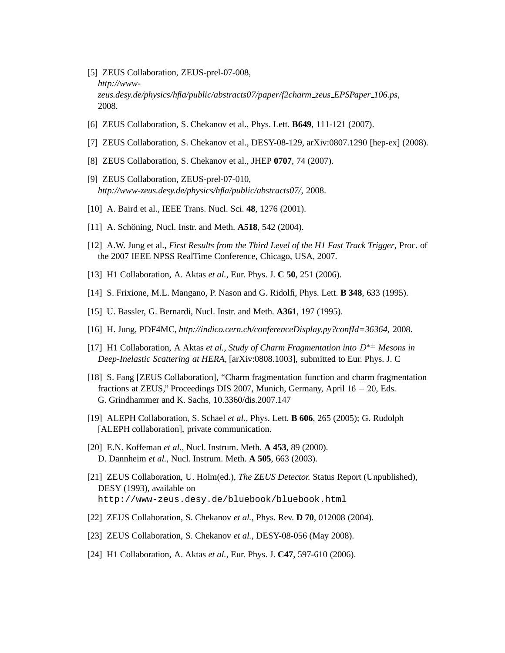- [5] ZEUS Collaboration, ZEUS-prel-07-008, *http://wwwzeus.desy.de/physics/hfla/public/abstracts07/paper/f2charm zeus EPSPaper 106.ps*, 2008.
- [6] ZEUS Collaboration, S. Chekanov et al., Phys. Lett. **B649**, 111-121 (2007).
- [7] ZEUS Collaboration, S. Chekanov et al., DESY-08-129, arXiv:0807.1290 [hep-ex] (2008).
- [8] ZEUS Collaboration, S. Chekanov et al., JHEP **0707**, 74 (2007).
- [9] ZEUS Collaboration, ZEUS-prel-07-010, *http://www-zeus.desy.de/physics/hfla/public/abstracts07/*, 2008.
- [10] A. Baird et al., IEEE Trans. Nucl. Sci. **48**, 1276 (2001).
- [11] A. Schöning, Nucl. Instr. and Meth. **A518**, 542 (2004).
- [12] A.W. Jung et al., *First Results from the Third Level of the H1 Fast Track Trigger*, Proc. of the 2007 IEEE NPSS RealTime Conference, Chicago, USA, 2007.
- [13] H1 Collaboration, A. Aktas *et al.*, Eur. Phys. J. **C 50**, 251 (2006).
- [14] S. Frixione, M.L. Mangano, P. Nason and G. Ridolfi, Phys. Lett. **B 348**, 633 (1995).
- [15] U. Bassler, G. Bernardi, Nucl. Instr. and Meth. **A361**, 197 (1995).
- [16] H. Jung, PDF4MC, *http://indico.cern.ch/conferenceDisplay.py?confId=36364*, 2008.
- [17] H1 Collaboration, A Aktas *et al.*, *Study of Charm Fragmentation into* D∗± *Mesons in Deep-Inelastic Scattering at HERA*, [arXiv:0808.1003], submitted to Eur. Phys. J. C
- [18] S. Fang [ZEUS Collaboration], "Charm fragmentation function and charm fragmentation fractions at ZEUS," Proceedings DIS 2007, Munich, Germany, April 16 − 20, Eds. G. Grindhammer and K. Sachs, 10.3360/dis.2007.147
- [19] ALEPH Collaboration, S. Schael *et al.*, Phys. Lett. **B 606**, 265 (2005); G. Rudolph [ALEPH collaboration], private communication.
- [20] E.N. Koffeman *et al.*, Nucl. Instrum. Meth. **A 453**, 89 (2000). D. Dannheim *et al.*, Nucl. Instrum. Meth. **A 505**, 663 (2003).
- [21] ZEUS Collaboration, U. Holm(ed.), *The ZEUS Detector.* Status Report (Unpublished), DESY (1993), available on http://www-zeus.desy.de/bluebook/bluebook.html
- [22] ZEUS Collaboration, S. Chekanov *et al.*, Phys. Rev. **D 70**, 012008 (2004).
- [23] ZEUS Collaboration, S. Chekanov *et al.*, DESY-08-056 (May 2008).
- [24] H1 Collaboration, A. Aktas *et al.*, Eur. Phys. J. **C47**, 597-610 (2006).